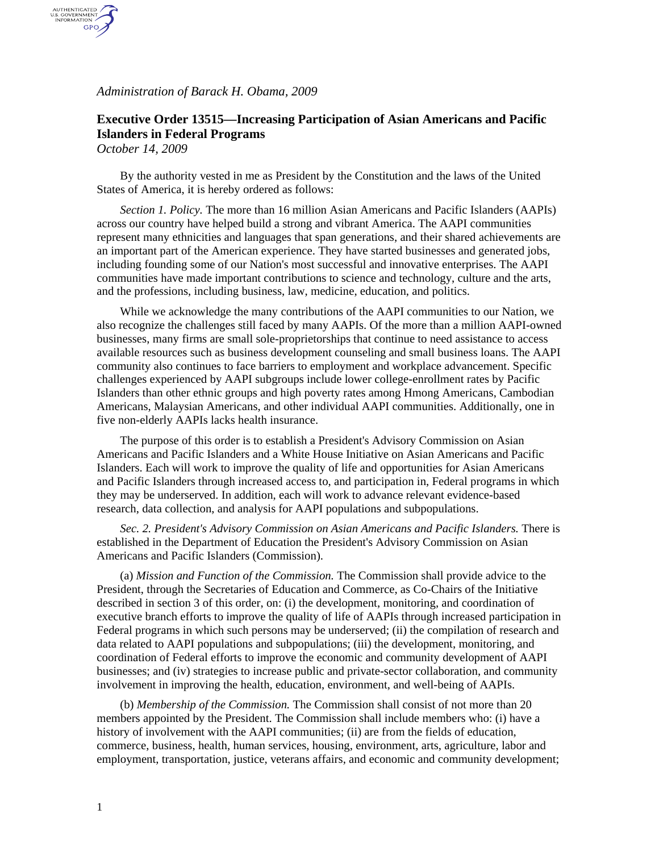*Administration of Barack H. Obama, 2009* 

## **Executive Order 13515—Increasing Participation of Asian Americans and Pacific Islanders in Federal Programs**

*October 14, 2009* 

AUTHENTICATED<br>U.S. GOVERNMENT<br>INFORMATION GPO

> By the authority vested in me as President by the Constitution and the laws of the United States of America, it is hereby ordered as follows:

*Section 1. Policy.* The more than 16 million Asian Americans and Pacific Islanders (AAPIs) across our country have helped build a strong and vibrant America. The AAPI communities represent many ethnicities and languages that span generations, and their shared achievements are an important part of the American experience. They have started businesses and generated jobs, including founding some of our Nation's most successful and innovative enterprises. The AAPI communities have made important contributions to science and technology, culture and the arts, and the professions, including business, law, medicine, education, and politics.

While we acknowledge the many contributions of the AAPI communities to our Nation, we also recognize the challenges still faced by many AAPIs. Of the more than a million AAPI-owned businesses, many firms are small sole-proprietorships that continue to need assistance to access available resources such as business development counseling and small business loans. The AAPI community also continues to face barriers to employment and workplace advancement. Specific challenges experienced by AAPI subgroups include lower college-enrollment rates by Pacific Islanders than other ethnic groups and high poverty rates among Hmong Americans, Cambodian Americans, Malaysian Americans, and other individual AAPI communities. Additionally, one in five non-elderly AAPIs lacks health insurance.

The purpose of this order is to establish a President's Advisory Commission on Asian Americans and Pacific Islanders and a White House Initiative on Asian Americans and Pacific Islanders. Each will work to improve the quality of life and opportunities for Asian Americans and Pacific Islanders through increased access to, and participation in, Federal programs in which they may be underserved. In addition, each will work to advance relevant evidence-based research, data collection, and analysis for AAPI populations and subpopulations.

*Sec. 2. President's Advisory Commission on Asian Americans and Pacific Islanders.* There is established in the Department of Education the President's Advisory Commission on Asian Americans and Pacific Islanders (Commission).

(a) *Mission and Function of the Commission.* The Commission shall provide advice to the President, through the Secretaries of Education and Commerce, as Co-Chairs of the Initiative described in section 3 of this order, on: (i) the development, monitoring, and coordination of executive branch efforts to improve the quality of life of AAPIs through increased participation in Federal programs in which such persons may be underserved; (ii) the compilation of research and data related to AAPI populations and subpopulations; (iii) the development, monitoring, and coordination of Federal efforts to improve the economic and community development of AAPI businesses; and (iv) strategies to increase public and private-sector collaboration, and community involvement in improving the health, education, environment, and well-being of AAPIs.

(b) *Membership of the Commission.* The Commission shall consist of not more than 20 members appointed by the President. The Commission shall include members who: (i) have a history of involvement with the AAPI communities; (ii) are from the fields of education, commerce, business, health, human services, housing, environment, arts, agriculture, labor and employment, transportation, justice, veterans affairs, and economic and community development;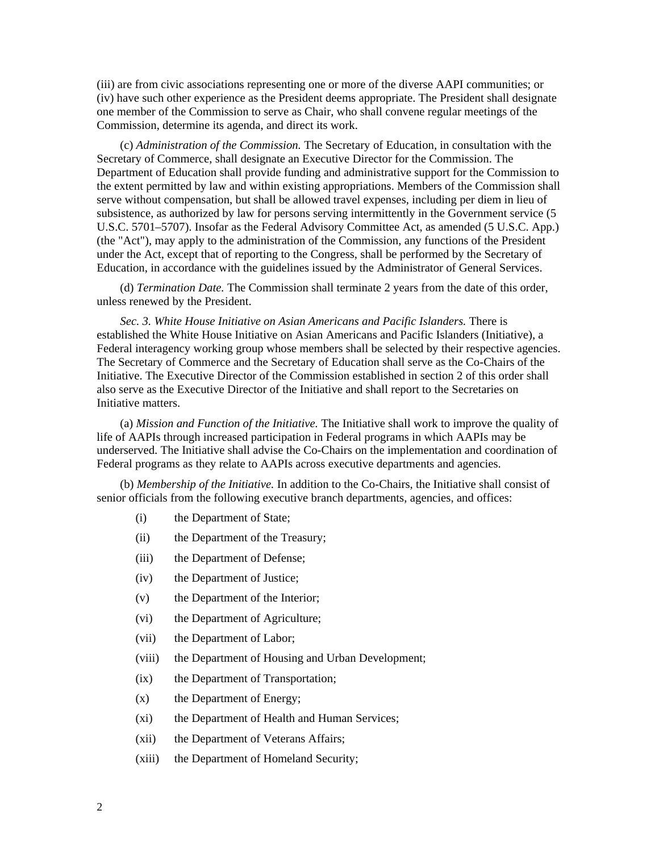(iii) are from civic associations representing one or more of the diverse AAPI communities; or (iv) have such other experience as the President deems appropriate. The President shall designate one member of the Commission to serve as Chair, who shall convene regular meetings of the Commission, determine its agenda, and direct its work.

(c) *Administration of the Commission.* The Secretary of Education, in consultation with the Secretary of Commerce, shall designate an Executive Director for the Commission. The Department of Education shall provide funding and administrative support for the Commission to the extent permitted by law and within existing appropriations. Members of the Commission shall serve without compensation, but shall be allowed travel expenses, including per diem in lieu of subsistence, as authorized by law for persons serving intermittently in the Government service (5 U.S.C. 5701–5707). Insofar as the Federal Advisory Committee Act, as amended (5 U.S.C. App.) (the "Act"), may apply to the administration of the Commission, any functions of the President under the Act, except that of reporting to the Congress, shall be performed by the Secretary of Education, in accordance with the guidelines issued by the Administrator of General Services.

(d) *Termination Date.* The Commission shall terminate 2 years from the date of this order, unless renewed by the President.

*Sec. 3. White House Initiative on Asian Americans and Pacific Islanders.* There is established the White House Initiative on Asian Americans and Pacific Islanders (Initiative), a Federal interagency working group whose members shall be selected by their respective agencies. The Secretary of Commerce and the Secretary of Education shall serve as the Co-Chairs of the Initiative. The Executive Director of the Commission established in section 2 of this order shall also serve as the Executive Director of the Initiative and shall report to the Secretaries on Initiative matters.

(a) *Mission and Function of the Initiative.* The Initiative shall work to improve the quality of life of AAPIs through increased participation in Federal programs in which AAPIs may be underserved. The Initiative shall advise the Co-Chairs on the implementation and coordination of Federal programs as they relate to AAPIs across executive departments and agencies.

(b) *Membership of the Initiative.* In addition to the Co-Chairs, the Initiative shall consist of senior officials from the following executive branch departments, agencies, and offices:

- (i) the Department of State;
- (ii) the Department of the Treasury;
- (iii) the Department of Defense;
- (iv) the Department of Justice;
- (v) the Department of the Interior;
- (vi) the Department of Agriculture;
- (vii) the Department of Labor;
- (viii) the Department of Housing and Urban Development;
- (ix) the Department of Transportation;
- (x) the Department of Energy;
- (xi) the Department of Health and Human Services;
- (xii) the Department of Veterans Affairs;
- (xiii) the Department of Homeland Security;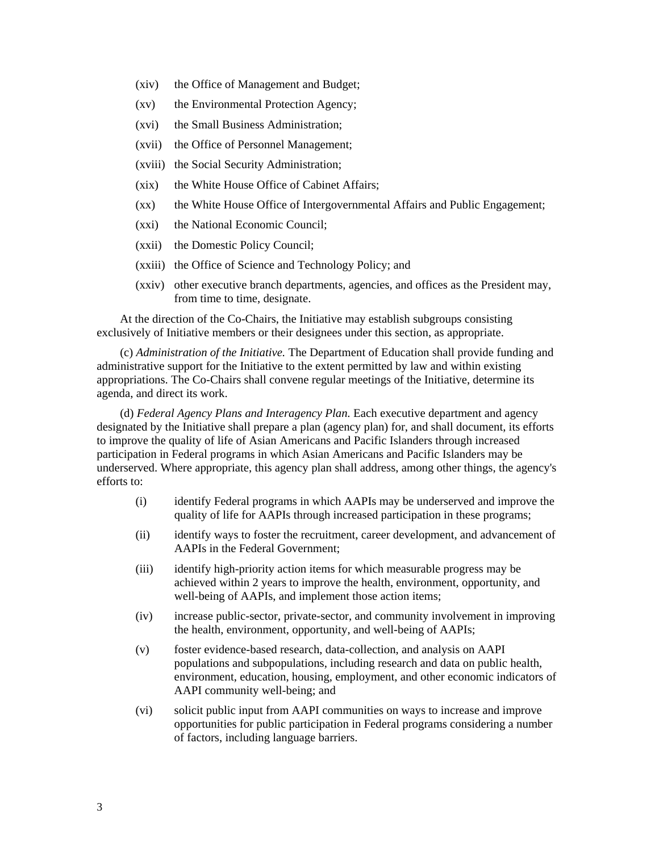- (xiv) the Office of Management and Budget;
- (xv) the Environmental Protection Agency;
- (xvi) the Small Business Administration;
- (xvii) the Office of Personnel Management;
- (xviii) the Social Security Administration;
- (xix) the White House Office of Cabinet Affairs;
- (xx) the White House Office of Intergovernmental Affairs and Public Engagement;
- (xxi) the National Economic Council;
- (xxii) the Domestic Policy Council;
- (xxiii) the Office of Science and Technology Policy; and
- (xxiv) other executive branch departments, agencies, and offices as the President may, from time to time, designate.

At the direction of the Co-Chairs, the Initiative may establish subgroups consisting exclusively of Initiative members or their designees under this section, as appropriate.

(c) *Administration of the Initiative.* The Department of Education shall provide funding and administrative support for the Initiative to the extent permitted by law and within existing appropriations. The Co-Chairs shall convene regular meetings of the Initiative, determine its agenda, and direct its work.

(d) *Federal Agency Plans and Interagency Plan.* Each executive department and agency designated by the Initiative shall prepare a plan (agency plan) for, and shall document, its efforts to improve the quality of life of Asian Americans and Pacific Islanders through increased participation in Federal programs in which Asian Americans and Pacific Islanders may be underserved. Where appropriate, this agency plan shall address, among other things, the agency's efforts to:

- (i) identify Federal programs in which AAPIs may be underserved and improve the quality of life for AAPIs through increased participation in these programs;
- (ii) identify ways to foster the recruitment, career development, and advancement of AAPIs in the Federal Government;
- (iii) identify high-priority action items for which measurable progress may be achieved within 2 years to improve the health, environment, opportunity, and well-being of AAPIs, and implement those action items;
- (iv) increase public-sector, private-sector, and community involvement in improving the health, environment, opportunity, and well-being of AAPIs;
- (v) foster evidence-based research, data-collection, and analysis on AAPI populations and subpopulations, including research and data on public health, environment, education, housing, employment, and other economic indicators of AAPI community well-being; and
- (vi) solicit public input from AAPI communities on ways to increase and improve opportunities for public participation in Federal programs considering a number of factors, including language barriers.